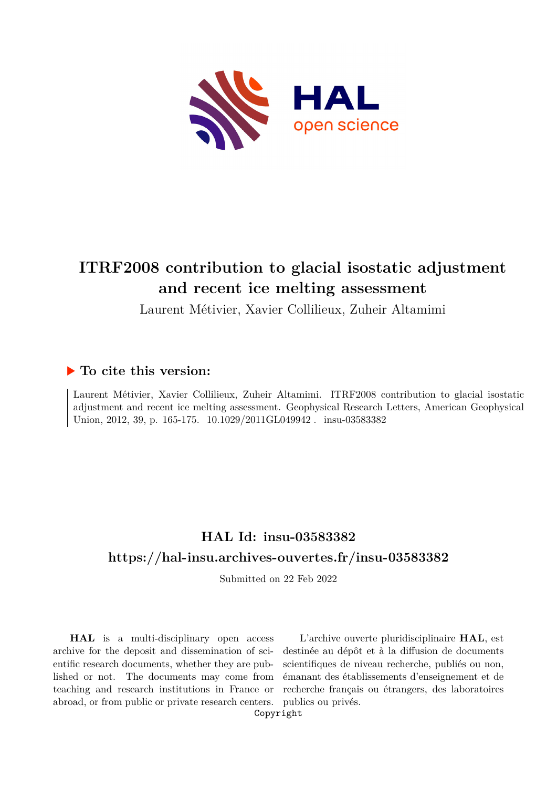

# **ITRF2008 contribution to glacial isostatic adjustment and recent ice melting assessment**

Laurent Métivier, Xavier Collilieux, Zuheir Altamimi

## **To cite this version:**

Laurent Métivier, Xavier Collilieux, Zuheir Altamimi. ITRF2008 contribution to glacial isostatic adjustment and recent ice melting assessment. Geophysical Research Letters, American Geophysical Union, 2012, 39, p. 165-175. 10.1029/2011GL049942. insu-03583382

## **HAL Id: insu-03583382 <https://hal-insu.archives-ouvertes.fr/insu-03583382>**

Submitted on 22 Feb 2022

**HAL** is a multi-disciplinary open access archive for the deposit and dissemination of scientific research documents, whether they are published or not. The documents may come from teaching and research institutions in France or abroad, or from public or private research centers.

L'archive ouverte pluridisciplinaire **HAL**, est destinée au dépôt et à la diffusion de documents scientifiques de niveau recherche, publiés ou non, émanant des établissements d'enseignement et de recherche français ou étrangers, des laboratoires publics ou privés.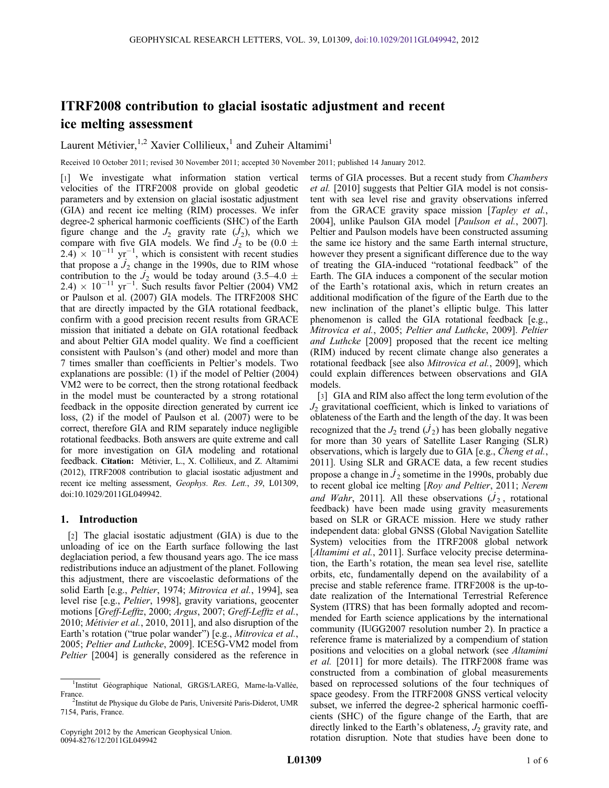### ITRF2008 contribution to glacial isostatic adjustment and recent ice melting assessment

Laurent Métivier,<sup>1,2</sup> Xavier Collilieux,<sup>1</sup> and Zuheir Altamimi<sup>1</sup>

Received 10 October 2011; revised 30 November 2011; accepted 30 November 2011; published 14 January 2012.

[1] We investigate what information station vertical velocities of the ITRF2008 provide on global geodetic parameters and by extension on glacial isostatic adjustment (GIA) and recent ice melting (RIM) processes. We infer degree-2 spherical harmonic coefficients (SHC) of the Earth figure change and the  $J_2$  gravity rate  $(J_2)$ , which we compare with five GIA models. We find  $J_2$  to be (0.0  $\pm$  $(2.4) \times 10^{-11}$  yr<sup>-1</sup>, which is consistent with recent studies that propose a  $J_2$  change in the 1990s, due to RIM whose contribution to the  $\dot{J}_2$  would be today around (3.5–4.0  $\pm$  $2.4) \times 10^{-11}$  yr<sup>-1</sup>. Such results favor Peltier (2004) VM2 or Paulson et al. (2007) GIA models. The ITRF2008 SHC that are directly impacted by the GIA rotational feedback, confirm with a good precision recent results from GRACE mission that initiated a debate on GIA rotational feedback and about Peltier GIA model quality. We find a coefficient consistent with Paulson's (and other) model and more than 7 times smaller than coefficients in Peltier's models. Two explanations are possible: (1) if the model of Peltier (2004) VM2 were to be correct, then the strong rotational feedback in the model must be counteracted by a strong rotational feedback in the opposite direction generated by current ice loss, (2) if the model of Paulson et al. (2007) were to be correct, therefore GIA and RIM separately induce negligible rotational feedbacks. Both answers are quite extreme and call for more investigation on GIA modeling and rotational feedback. Citation: Métivier, L., X. Collilieux, and Z. Altamimi (2012), ITRF2008 contribution to glacial isostatic adjustment and recent ice melting assessment, Geophys. Res. Lett., 39, L01309, doi:10.1029/2011GL049942.

#### 1. Introduction

[2] The glacial isostatic adjustment (GIA) is due to the unloading of ice on the Earth surface following the last deglaciation period, a few thousand years ago. The ice mass redistributions induce an adjustment of the planet. Following this adjustment, there are viscoelastic deformations of the solid Earth [e.g., *Peltier*, 1974; *Mitrovica et al.*, 1994], sea level rise [e.g., Peltier, 1998], gravity variations, geocenter motions [Greff-Lefftz, 2000; Argus, 2007; Greff-Lefftz et al., 2010; Métivier et al., 2010, 2011], and also disruption of the Earth's rotation ("true polar wander") [e.g., Mitrovica et al., 2005; Peltier and Luthcke, 2009]. ICE5G-VM2 model from Peltier [2004] is generally considered as the reference in

terms of GIA processes. But a recent study from Chambers et al. [2010] suggests that Peltier GIA model is not consistent with sea level rise and gravity observations inferred from the GRACE gravity space mission [Tapley et al., 2004], unlike Paulson GIA model [Paulson et al., 2007]. Peltier and Paulson models have been constructed assuming the same ice history and the same Earth internal structure, however they present a significant difference due to the way of treating the GIA-induced "rotational feedback" of the Earth. The GIA induces a component of the secular motion of the Earth's rotational axis, which in return creates an additional modification of the figure of the Earth due to the new inclination of the planet's elliptic bulge. This latter phenomenon is called the GIA rotational feedback [e.g., Mitrovica et al., 2005; Peltier and Luthcke, 2009]. Peltier and Luthcke [2009] proposed that the recent ice melting (RIM) induced by recent climate change also generates a rotational feedback [see also Mitrovica et al., 2009], which could explain differences between observations and GIA models.

[3] GIA and RIM also affect the long term evolution of the  $J<sub>2</sub>$  gravitational coefficient, which is linked to variations of oblateness of the Earth and the length of the day. It was been recognized that the  $J_2$  trend  $(J_2)$  has been globally negative for more than 30 years of Satellite Laser Ranging (SLR) observations, which is largely due to GIA [e.g., Cheng et al., 2011]. Using SLR and GRACE data, a few recent studies propose a change in  $J_2$  sometime in the 1990s, probably due to recent global ice melting [Roy and Peltier, 2011; Nerem and Wahr, 2011]. All these observations  $(J_2,$  rotational feedback) have been made using gravity measurements based on SLR or GRACE mission. Here we study rather independent data: global GNSS (Global Navigation Satellite System) velocities from the ITRF2008 global network [Altamimi et al., 2011]. Surface velocity precise determination, the Earth's rotation, the mean sea level rise, satellite orbits, etc, fundamentally depend on the availability of a precise and stable reference frame. ITRF2008 is the up-todate realization of the International Terrestrial Reference System (ITRS) that has been formally adopted and recommended for Earth science applications by the international community (IUGG2007 resolution number 2). In practice a reference frame is materialized by a compendium of station positions and velocities on a global network (see Altamimi et al. [2011] for more details). The ITRF2008 frame was constructed from a combination of global measurements based on reprocessed solutions of the four techniques of space geodesy. From the ITRF2008 GNSS vertical velocity subset, we inferred the degree-2 spherical harmonic coefficients (SHC) of the figure change of the Earth, that are directly linked to the Earth's oblateness,  $J_2$  gravity rate, and rotation disruption. Note that studies have been done to

<sup>&</sup>lt;sup>1</sup>Institut Géographique National, GRGS/LAREG, Marne-la-Vallée, France.

<sup>&</sup>lt;sup>2</sup>Institut de Physique du Globe de Paris, Université Paris-Diderot, UMR 7154, Paris, France.

Copyright 2012 by the American Geophysical Union. 0094-8276/12/2011GL049942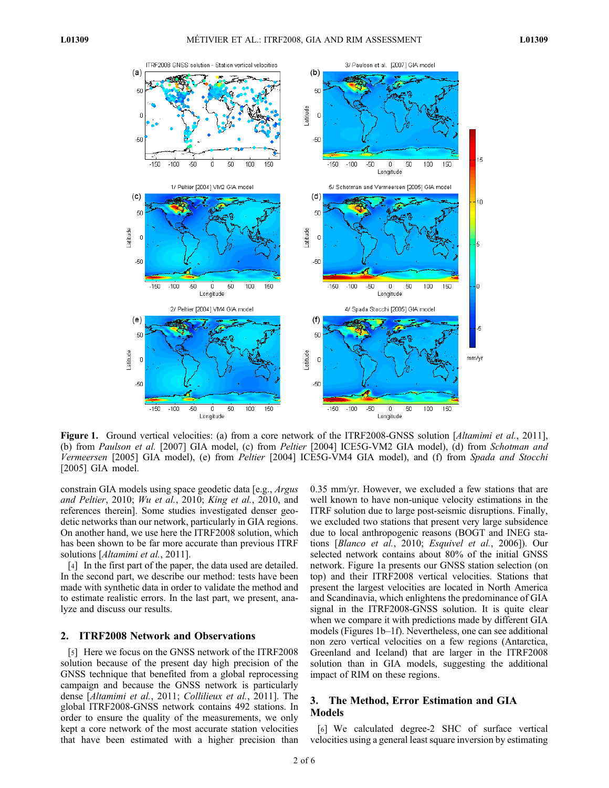

Figure 1. Ground vertical velocities: (a) from a core network of the ITRF2008-GNSS solution [*Altamimi et al.*, 2011], (b) from Paulson et al. [2007] GIA model, (c) from Peltier [2004] ICE5G-VM2 GIA model), (d) from Schotman and Vermeersen [2005] GIA model), (e) from Peltier [2004] ICE5G-VM4 GIA model), and (f) from Spada and Stocchi [2005] GIA model.

constrain GIA models using space geodetic data [e.g., Argus and Peltier, 2010; Wu et al., 2010; King et al., 2010, and references therein]. Some studies investigated denser geodetic networks than our network, particularly in GIA regions. On another hand, we use here the ITRF2008 solution, which has been shown to be far more accurate than previous ITRF solutions [Altamimi et al., 2011].

[4] In the first part of the paper, the data used are detailed. In the second part, we describe our method: tests have been made with synthetic data in order to validate the method and to estimate realistic errors. In the last part, we present, analyze and discuss our results.

#### 2. ITRF2008 Network and Observations

[5] Here we focus on the GNSS network of the ITRF2008 solution because of the present day high precision of the GNSS technique that benefited from a global reprocessing campaign and because the GNSS network is particularly dense [Altamimi et al., 2011; Collilieux et al., 2011]. The global ITRF2008-GNSS network contains 492 stations. In order to ensure the quality of the measurements, we only kept a core network of the most accurate station velocities that have been estimated with a higher precision than 0.35 mm/yr. However, we excluded a few stations that are well known to have non-unique velocity estimations in the ITRF solution due to large post-seismic disruptions. Finally, we excluded two stations that present very large subsidence due to local anthropogenic reasons (BOGT and INEG stations [Blanco et al., 2010; Esquivel et al., 2006]). Our selected network contains about 80% of the initial GNSS network. Figure 1a presents our GNSS station selection (on top) and their ITRF2008 vertical velocities. Stations that present the largest velocities are located in North America and Scandinavia, which enlightens the predominance of GIA signal in the ITRF2008-GNSS solution. It is quite clear when we compare it with predictions made by different GIA models (Figures 1b–1f). Nevertheless, one can see additional non zero vertical velocities on a few regions (Antarctica, Greenland and Iceland) that are larger in the ITRF2008 solution than in GIA models, suggesting the additional impact of RIM on these regions.

#### 3. The Method, Error Estimation and GIA Models

[6] We calculated degree-2 SHC of surface vertical velocities using a general least square inversion by estimating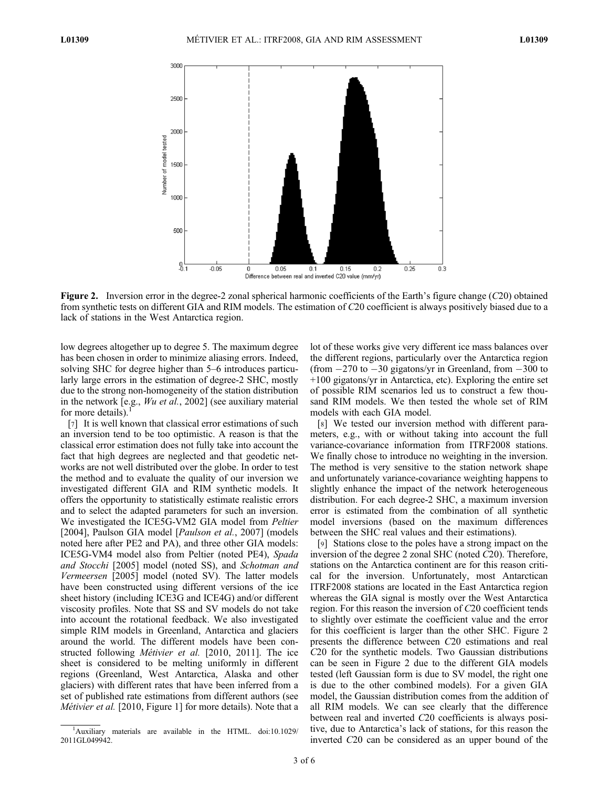

Figure 2. Inversion error in the degree-2 zonal spherical harmonic coefficients of the Earth's figure change (C20) obtained from synthetic tests on different GIA and RIM models. The estimation of C20 coefficient is always positively biased due to a lack of stations in the West Antarctica region.

low degrees altogether up to degree 5. The maximum degree has been chosen in order to minimize aliasing errors. Indeed, solving SHC for degree higher than 5–6 introduces particularly large errors in the estimation of degree-2 SHC, mostly due to the strong non-homogeneity of the station distribution in the network [e.g., Wu et al., 2002] (see auxiliary material for more details).

[7] It is well known that classical error estimations of such an inversion tend to be too optimistic. A reason is that the classical error estimation does not fully take into account the fact that high degrees are neglected and that geodetic networks are not well distributed over the globe. In order to test the method and to evaluate the quality of our inversion we investigated different GIA and RIM synthetic models. It offers the opportunity to statistically estimate realistic errors and to select the adapted parameters for such an inversion. We investigated the ICE5G-VM2 GIA model from Peltier [2004], Paulson GIA model [*Paulson et al.*, 2007] (models noted here after PE2 and PA), and three other GIA models: ICE5G-VM4 model also from Peltier (noted PE4), Spada and Stocchi [2005] model (noted SS), and Schotman and Vermeersen [2005] model (noted SV). The latter models have been constructed using different versions of the ice sheet history (including ICE3G and ICE4G) and/or different viscosity profiles. Note that SS and SV models do not take into account the rotational feedback. We also investigated simple RIM models in Greenland, Antarctica and glaciers around the world. The different models have been constructed following Métivier et al. [2010, 2011]. The ice sheet is considered to be melting uniformly in different regions (Greenland, West Antarctica, Alaska and other glaciers) with different rates that have been inferred from a set of published rate estimations from different authors (see Métivier et al. [2010, Figure 1] for more details). Note that a

lot of these works give very different ice mass balances over the different regions, particularly over the Antarctica region (from  $-270$  to  $-30$  gigatons/yr in Greenland, from  $-300$  to +100 gigatons/yr in Antarctica, etc). Exploring the entire set of possible RIM scenarios led us to construct a few thousand RIM models. We then tested the whole set of RIM models with each GIA model.

[8] We tested our inversion method with different parameters, e.g., with or without taking into account the full variance-covariance information from ITRF2008 stations. We finally chose to introduce no weighting in the inversion. The method is very sensitive to the station network shape and unfortunately variance-covariance weighting happens to slightly enhance the impact of the network heterogeneous distribution. For each degree-2 SHC, a maximum inversion error is estimated from the combination of all synthetic model inversions (based on the maximum differences between the SHC real values and their estimations).

[9] Stations close to the poles have a strong impact on the inversion of the degree 2 zonal SHC (noted C20). Therefore, stations on the Antarctica continent are for this reason critical for the inversion. Unfortunately, most Antarctican ITRF2008 stations are located in the East Antarctica region whereas the GIA signal is mostly over the West Antarctica region. For this reason the inversion of C20 coefficient tends to slightly over estimate the coefficient value and the error for this coefficient is larger than the other SHC. Figure 2 presents the difference between C20 estimations and real C20 for the synthetic models. Two Gaussian distributions can be seen in Figure 2 due to the different GIA models tested (left Gaussian form is due to SV model, the right one is due to the other combined models). For a given GIA model, the Gaussian distribution comes from the addition of all RIM models. We can see clearly that the difference between real and inverted C20 coefficients is always positive, due to Antarctica's lack of stations, for this reason the inverted C20 can be considered as an upper bound of the

<sup>&</sup>lt;sup>1</sup>Auxiliary materials are available in the HTML. doi:10.1029/ 2011GL049942.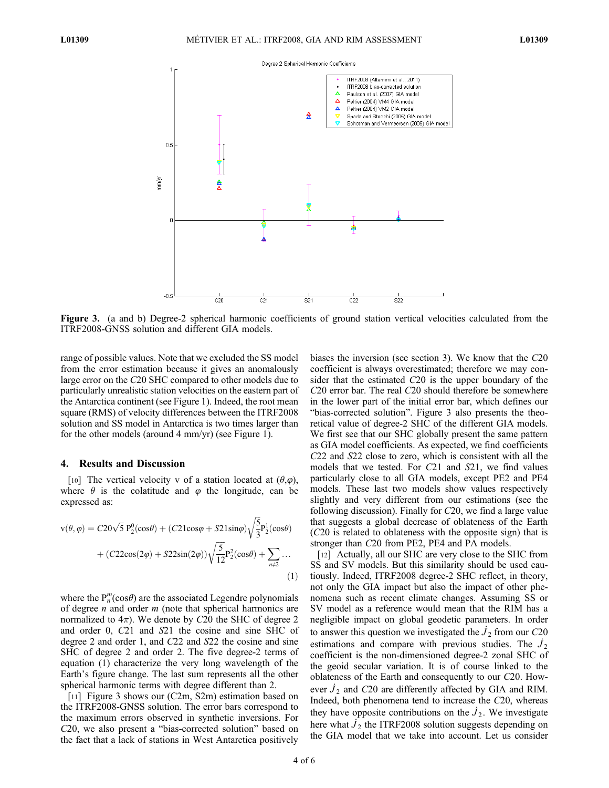

Figure 3. (a and b) Degree-2 spherical harmonic coefficients of ground station vertical velocities calculated from the ITRF2008-GNSS solution and different GIA models.

range of possible values. Note that we excluded the SS model from the error estimation because it gives an anomalously large error on the C20 SHC compared to other models due to particularly unrealistic station velocities on the eastern part of the Antarctica continent (see Figure 1). Indeed, the root mean square (RMS) of velocity differences between the ITRF2008 solution and SS model in Antarctica is two times larger than for the other models (around 4 mm/yr) (see Figure 1).

#### 4. Results and Discussion

[10] The vertical velocity v of a station located at  $(\theta,\varphi)$ , where  $\theta$  is the colatitude and  $\varphi$  the longitude, can be expressed as:

$$
v(\theta, \varphi) = C20\sqrt{5} P_2^0(\cos\theta) + (C21\cos\varphi + S21\sin\varphi)\sqrt{\frac{5}{3}} P_2^1(\cos\theta) + (C22\cos(2\varphi) + S22\sin(2\varphi))\sqrt{\frac{5}{12}} P_2^2(\cos\theta) + \sum_{n \neq 2} \cdots
$$
\n(1)

where the  $P_n^m(\cos\theta)$  are the associated Legendre polynomials of degree *n* and order  $m$  (note that spherical harmonics are normalized to  $4\pi$ ). We denote by C20 the SHC of degree 2 and order 0, C21 and S21 the cosine and sine SHC of degree 2 and order 1, and C22 and S22 the cosine and sine SHC of degree 2 and order 2. The five degree-2 terms of equation (1) characterize the very long wavelength of the Earth's figure change. The last sum represents all the other spherical harmonic terms with degree different than 2.

[11] Figure 3 shows our (C2m, S2m) estimation based on the ITRF2008-GNSS solution. The error bars correspond to the maximum errors observed in synthetic inversions. For C20, we also present a "bias-corrected solution" based on the fact that a lack of stations in West Antarctica positively biases the inversion (see section 3). We know that the C20 coefficient is always overestimated; therefore we may consider that the estimated C20 is the upper boundary of the C20 error bar. The real C20 should therefore be somewhere in the lower part of the initial error bar, which defines our "bias-corrected solution". Figure 3 also presents the theoretical value of degree-2 SHC of the different GIA models. We first see that our SHC globally present the same pattern as GIA model coefficients. As expected, we find coefficients C22 and S22 close to zero, which is consistent with all the models that we tested. For C21 and S21, we find values particularly close to all GIA models, except PE2 and PE4 models. These last two models show values respectively slightly and very different from our estimations (see the following discussion). Finally for C20, we find a large value that suggests a global decrease of oblateness of the Earth (C20 is related to oblateness with the opposite sign) that is stronger than C20 from PE2, PE4 and PA models.

[12] Actually, all our SHC are very close to the SHC from SS and SV models. But this similarity should be used cautiously. Indeed, ITRF2008 degree-2 SHC reflect, in theory, not only the GIA impact but also the impact of other phenomena such as recent climate changes. Assuming SS or SV model as a reference would mean that the RIM has a negligible impact on global geodetic parameters. In order to answer this question we investigated the  $J_2$  from our C20 estimations and compare with previous studies. The  $J_2$ coefficient is the non-dimensioned degree-2 zonal SHC of the geoid secular variation. It is of course linked to the oblateness of the Earth and consequently to our C20. However  $J_2$  and C20 are differently affected by GIA and RIM. Indeed, both phenomena tend to increase the C20, whereas they have opposite contributions on the  $J_2$ . We investigate here what  $J_2$  the ITRF2008 solution suggests depending on the GIA model that we take into account. Let us consider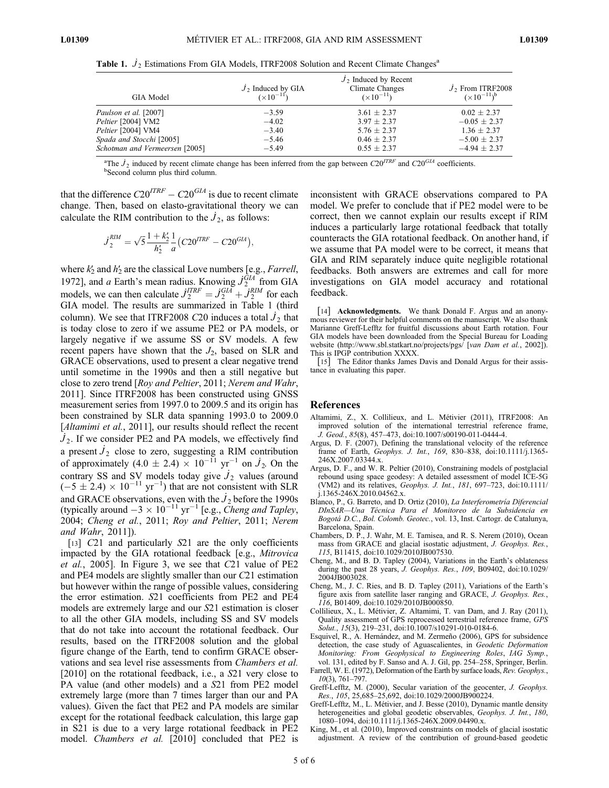| GIA Model                      | $J_2$ Induced by GIA<br>$(x10^{-11})$ | $J_2$ Induced by Recent<br>Climate Changes<br>$(\times 10^{-11})$ | $J_2$ From ITRF2008<br>$(\times 10^{-11})^b$ |
|--------------------------------|---------------------------------------|-------------------------------------------------------------------|----------------------------------------------|
| Paulson et al. [2007]          | $-3.59$                               | $3.61 \pm 2.37$                                                   | $0.02 \pm 2.37$                              |
| Peltier [2004] VM2             | $-4.02$                               | $3.97 \pm 2.37$                                                   | $-0.05 \pm 2.37$                             |
| Peltier [2004] VM4             | $-3.40$                               | $5.76 \pm 2.37$                                                   | $1.36 \pm 2.37$                              |
| Spada and Stocchi [2005]       | $-5.46$                               | $0.46 \pm 2.37$                                                   | $-5.00 \pm 2.37$                             |
| Schotman and Vermeersen [2005] | $-5.49$                               | $0.55 \pm 2.37$                                                   | $-4.94 \pm 2.37$                             |

Table 1.  $J_2$  Estimations From GIA Models, ITRF2008 Solution and Recent Climate Changes<sup>a</sup>

<sup>a</sup>The  $J_2$  induced by recent climate change has been inferred from the gap between  $C20^{ITER}$  and  $C20^{GIA}$  coefficients. <sup>b</sup>Second column plus third column.

that the difference  $C20^{ITRF} - C20^{GIA}$  is due to recent climate change. Then, based on elasto-gravitational theory we can calculate the RIM contribution to the  $\dot{J}_2$ , as follows:

$$
J_2^{RIM} = \sqrt{5} \frac{1 + k'_2}{h'_2} \frac{1}{a} (C20^{ITRF} - C20^{GIA}),
$$

where  $k'_2$  and  $h'_2$  are the classical Love numbers [e.g., *Farrell*, 1972], and a Earth's mean radius. Knowing  $\dot{J}_2^{GIA}$  from GIA models, we can then calculate  $J_2^{ITRF} = J_2^{GIA} + J_2^{RIM}$  for each GIA model. The results are summarized in Table 1 (third column). We see that ITRF2008 C20 induces a total  $J_2$  that is today close to zero if we assume PE2 or PA models, or largely negative if we assume SS or SV models. A few recent papers have shown that the  $J_2$ , based on SLR and GRACE observations, used to present a clear negative trend until sometime in the 1990s and then a still negative but close to zero trend [Roy and Peltier, 2011; Nerem and Wahr, 2011]. Since ITRF2008 has been constructed using GNSS measurement series from 1997.0 to 2009.5 and its origin has been constrained by SLR data spanning 1993.0 to 2009.0 [Altamimi et al., 2011], our results should reflect the recent  $J_2$ . If we consider PE2 and PA models, we effectively find a present  $J_2$  close to zero, suggesting a RIM contribution of approximately  $(4.0 \pm 2.4) \times 10^{-11}$  yr<sup>-1</sup> on  $\dot{J}_2$ . On the contrary SS and SV models today give  $J_2$  values (around  $(-5 \pm 2.4) \times 10^{-11}$  yr<sup>-1</sup>) that are not consistent with SLR and GRACE observations, even with the  $\dot{J}_2$  before the 1990s (typically around  $-3 \times 10^{-11}$  yr<sup>-1</sup> [e.g., *Cheng and Tapley*, 2004; Cheng et al., 2011; Roy and Peltier, 2011; Nerem and Wahr, 2011]).

[13] C21 and particularly S21 are the only coefficients impacted by the GIA rotational feedback [e.g., Mitrovica et al., 2005]. In Figure 3, we see that C21 value of PE2 and PE4 models are slightly smaller than our C21 estimation but however within the range of possible values, considering the error estimation. S21 coefficients from PE2 and PE4 models are extremely large and our S21 estimation is closer to all the other GIA models, including SS and SV models that do not take into account the rotational feedback. Our results, based on the ITRF2008 solution and the global figure change of the Earth, tend to confirm GRACE observations and sea level rise assessments from Chambers et al. [2010] on the rotational feedback, i.e., a S21 very close to PA value (and other models) and a S21 from PE2 model extremely large (more than 7 times larger than our and PA values). Given the fact that PE2 and PA models are similar except for the rotational feedback calculation, this large gap in S21 is due to a very large rotational feedback in PE2 model. Chambers et al. [2010] concluded that PE2 is

inconsistent with GRACE observations compared to PA model. We prefer to conclude that if PE2 model were to be correct, then we cannot explain our results except if RIM induces a particularly large rotational feedback that totally counteracts the GIA rotational feedback. On another hand, if we assume that PA model were to be correct, it means that GIA and RIM separately induce quite negligible rotational feedbacks. Both answers are extremes and call for more investigations on GIA model accuracy and rotational feedback.

[14] **Acknowledgments.** We thank Donald F. Argus and an anonymous reviewer for their helpful comments on the manuscript. We also thank Marianne Greff-Lefftz for fruitful discussions about Earth rotation. Four GIA models have been downloaded from the Special Bureau for Loading website (http://www.sbl.statkart.no/projects/pgs<sup>[</sup> [van Dam et al., 2002]). This is IPGP contribution XXXX.

[15] The Editor thanks James Davis and Donald Argus for their assistance in evaluating this paper.

#### References

- Altamimi, Z., X. Collilieux, and L. Métivier (2011), ITRF2008: An improved solution of the international terrestrial reference frame, J. Geod., 85(8), 457–473, doi:10.1007/s00190-011-0444-4.
- Argus, D. F. (2007), Defining the translational velocity of the reference frame of Earth, Geophys. J. Int., 169, 830–838, doi:10.1111/j.1365- 246X.2007.03344.x.
- Argus, D. F., and W. R. Peltier (2010), Constraining models of postglacial rebound using space geodesy: A detailed assessment of model ICE-5G (VM2) and its relatives, Geophys. J. Int., 181, 697–723, doi:10.1111/ j.1365-246X.2010.04562.x.
- Blanco, P., G. Barreto, and D. Ortiz (2010), La Interferometría Diferencial DInSAR—Una Técnica Para el Monitoreo de la Subsidencia en Bogotá D.C., Bol. Colomb. Geotec., vol. 13, Inst. Cartogr. de Catalunya, Barcelona, Spain.
- Chambers, D. P., J. Wahr, M. E. Tamisea, and R. S. Nerem (2010), Ocean mass from GRACE and glacial isostatic adjustment, J. Geophys. Res., 115, B11415, doi:10.1029/2010JB007530.
- Cheng, M., and B. D. Tapley (2004), Variations in the Earth's oblateness during the past 28 years, *J. Geophys. Res.*, 109, B09402, doi:10.1029/ 2004JB003028.
- Cheng, M., J. C. Ries, and B. D. Tapley (2011), Variations of the Earth's figure axis from satellite laser ranging and GRACE, J. Geophys. Res., 116, B01409, doi:10.1029/2010JB000850.
- Collilieux, X., L. Métivier, Z. Altamimi, T. van Dam, and J. Ray (2011), Quality assessment of GPS reprocessed terrestrial reference frame, GPS  $Solution$ ,  $15(3)$ ,  $219-231$ ,  $doi:10.1007/s10291-010-0184-6$ .
- Esquivel, R., A. Hernández, and M. Zermeño (2006), GPS for subsidence detection, the case study of Aguascalientes, in Geodetic Deformation Monitoring: From Geophysical to Engineering Roles, IAG Symp., vol. 131, edited by F. Sanso and A. J. Gil, pp. 254–258, Springer, Berlin.
- Farrell, W. E. (1972), Deformation of the Earth by surface loads, Rev. Geophys., 10(3), 761–797.
- Greff-Lefftz, M. (2000), Secular variation of the geocenter, J. Geophys. Res., 105, 25,685–25,692, doi:10.1029/2000JB900224.
- Greff-Lefftz, M., L. Métivier, and J. Besse (2010), Dynamic mantle density heterogeneities and global geodetic observables, Geophys. J. Int., 180, 1080–1094, doi:10.1111/j.1365-246X.2009.04490.x.
- King, M., et al. (2010), Improved constraints on models of glacial isostatic adjustment. A review of the contribution of ground-based geodetic